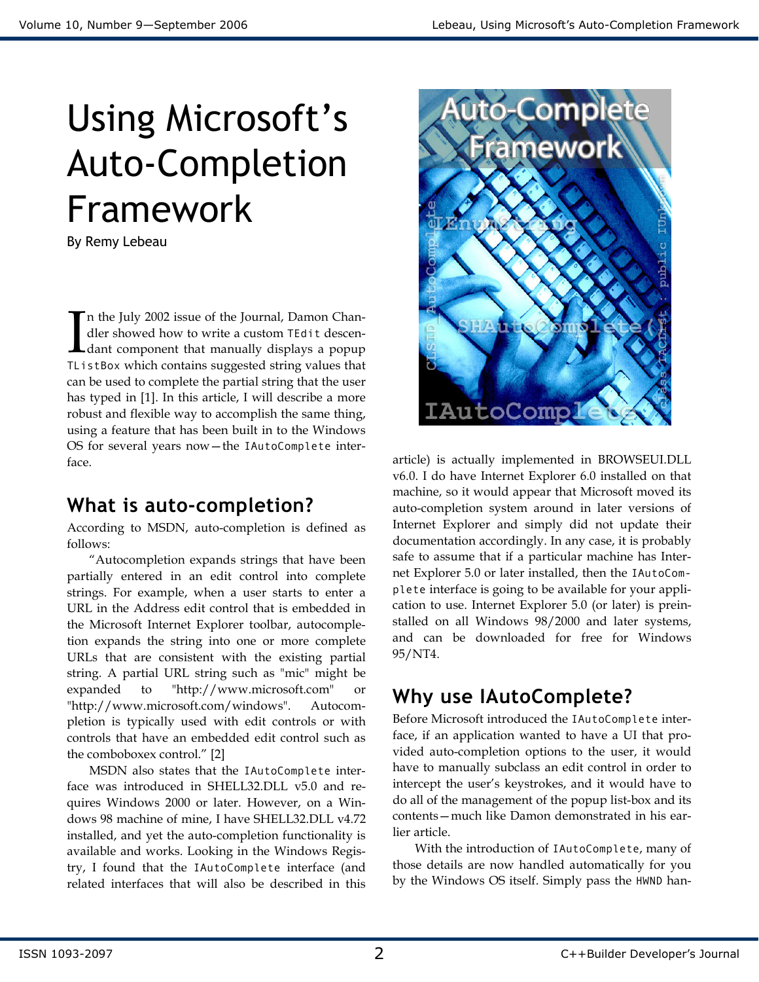# Using Microsoft's Auto-Completion Framework

By Remy Lebeau

n the July 2002 issue of the Journal, Damon Chandler showed how to write a custom TEdit descendant component that manually displays a popup The July 2002 issue of the Journal, Damon Chandler showed how to write a custom TEdit descendant component that manually displays a popup TListBox which contains suggested string values that can be used to complete the partial string that the user has typed in [1]. In this article, I will describe a more robust and flexible way to accomplish the same thing, using a feature that has been built in to the Windows OS for several years now—the IAutoComplete interface.

# What is auto-completion?

According to MSDN, auto-completion is defined as follows:

 "Autocompletion expands strings that have been partially entered in an edit control into complete strings. For example, when a user starts to enter a URL in the Address edit control that is embedded in the Microsoft Internet Explorer toolbar, autocompletion expands the string into one or more complete URLs that are consistent with the existing partial string. A partial URL string such as "mic" might be expanded to "http://www.microsoft.com" or "http://www.microsoft.com/windows". Autocompletion is typically used with edit controls or with controls that have an embedded edit control such as the comboboxex control." [2]

MSDN also states that the IAutoComplete interface was introduced in SHELL32.DLL v5.0 and requires Windows 2000 or later. However, on a Windows 98 machine of mine, I have SHELL32.DLL v4.72 installed, and yet the auto-completion functionality is available and works. Looking in the Windows Registry, I found that the IAutoComplete interface (and related interfaces that will also be described in this



article) is actually implemented in BROWSEUI.DLL v6.0. I do have Internet Explorer 6.0 installed on that machine, so it would appear that Microsoft moved its auto-completion system around in later versions of Internet Explorer and simply did not update their documentation accordingly. In any case, it is probably safe to assume that if a particular machine has Internet Explorer 5.0 or later installed, then the IAutoComplete interface is going to be available for your application to use. Internet Explorer 5.0 (or later) is preinstalled on all Windows 98/2000 and later systems, and can be downloaded for free for Windows 95/NT4.

# Why use IAutoComplete?

Before Microsoft introduced the IAutoComplete interface, if an application wanted to have a UI that provided auto-completion options to the user, it would have to manually subclass an edit control in order to intercept the user's keystrokes, and it would have to do all of the management of the popup list-box and its contents—much like Damon demonstrated in his earlier article.

 With the introduction of IAutoComplete, many of those details are now handled automatically for you by the Windows OS itself. Simply pass the HWND han-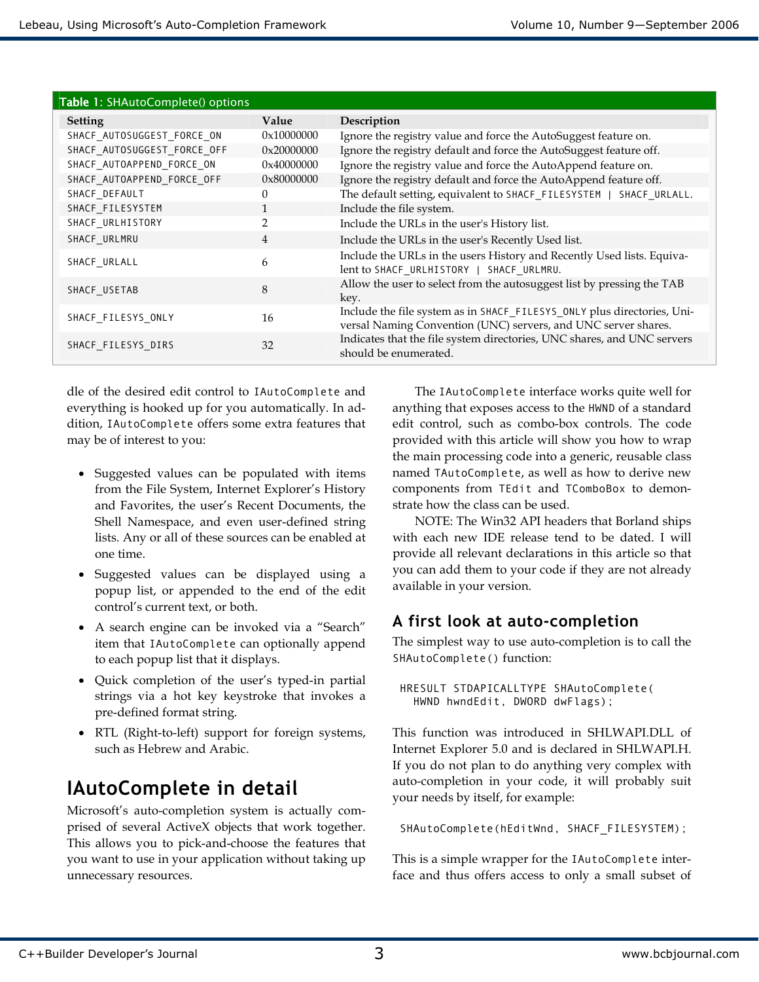| Table 1: SHAutoComplete() options |                |                                                                                                                                           |  |  |
|-----------------------------------|----------------|-------------------------------------------------------------------------------------------------------------------------------------------|--|--|
| <b>Setting</b>                    | Value          | Description                                                                                                                               |  |  |
| SHACF_AUTOSUGGEST_FORCE_ON        | 0x10000000     | Ignore the registry value and force the AutoSuggest feature on.                                                                           |  |  |
| SHACF_AUTOSUGGEST_FORCE_OFF       | 0x20000000     | Ignore the registry default and force the AutoSuggest feature off.                                                                        |  |  |
| SHACF AUTOAPPEND FORCE ON         | 0x40000000     | Ignore the registry value and force the AutoAppend feature on.                                                                            |  |  |
| SHACF_AUTOAPPEND_FORCE_OFF        | 0x80000000     | Ignore the registry default and force the AutoAppend feature off.                                                                         |  |  |
| SHACF DEFAULT                     | $\Omega$       | The default setting, equivalent to SHACF_FILESYSTEM   SHACF_URLALL.                                                                       |  |  |
| SHACF FILESYSTEM                  |                | Include the file system.                                                                                                                  |  |  |
| SHACF_URLHISTORY                  | 2              | Include the URLs in the user's History list.                                                                                              |  |  |
| SHACF_URLMRU                      | $\overline{4}$ | Include the URLs in the user's Recently Used list.                                                                                        |  |  |
| SHACF URLALL                      | 6              | Include the URLs in the users History and Recently Used lists. Equiva-<br>lent to SHACF URLHISTORY   SHACF URLMRU.                        |  |  |
| SHACF USETAB                      | 8              | Allow the user to select from the autosuggest list by pressing the TAB<br>key.                                                            |  |  |
| SHACF_FILESYS_ONLY                | 16             | Include the file system as in SHACF_FILESYS_ONLY plus directories, Uni-<br>versal Naming Convention (UNC) servers, and UNC server shares. |  |  |
| SHACF FILESYS DIRS                | 32             | Indicates that the file system directories, UNC shares, and UNC servers<br>should be enumerated.                                          |  |  |

dle of the desired edit control to IAutoComplete and everything is hooked up for you automatically. In addition, IAutoComplete offers some extra features that may be of interest to you:

- Suggested values can be populated with items from the File System, Internet Explorer's History and Favorites, the user's Recent Documents, the Shell Namespace, and even user-defined string lists. Any or all of these sources can be enabled at one time.
- Suggested values can be displayed using a popup list, or appended to the end of the edit control's current text, or both.
- A search engine can be invoked via a "Search" item that IAutoComplete can optionally append to each popup list that it displays.
- Quick completion of the user's typed-in partial strings via a hot key keystroke that invokes a pre-defined format string.
- RTL (Right-to-left) support for foreign systems, such as Hebrew and Arabic.

# IAutoComplete in detail

Microsoft's auto-completion system is actually comprised of several ActiveX objects that work together. This allows you to pick-and-choose the features that you want to use in your application without taking up unnecessary resources.

The IAutoComplete interface works quite well for anything that exposes access to the HWND of a standard edit control, such as combo-box controls. The code provided with this article will show you how to wrap the main processing code into a generic, reusable class named TAutoComplete, as well as how to derive new components from TEdit and TComboBox to demonstrate how the class can be used.

NOTE: The Win32 API headers that Borland ships with each new IDE release tend to be dated. I will provide all relevant declarations in this article so that you can add them to your code if they are not already available in your version.

### A first look at auto-completion

The simplest way to use auto-completion is to call the SHAutoComplete() function:

```
HRESULT STDAPICALLTYPE SHAutoComplete( 
   HWND hwndEdit, DWORD dwFlags);
```
This function was introduced in SHLWAPI.DLL of Internet Explorer 5.0 and is declared in SHLWAPI.H. If you do not plan to do anything very complex with auto-completion in your code, it will probably suit your needs by itself, for example:

SHAutoComplete(hEditWnd, SHACF\_FILESYSTEM);

This is a simple wrapper for the IAutoComplete interface and thus offers access to only a small subset of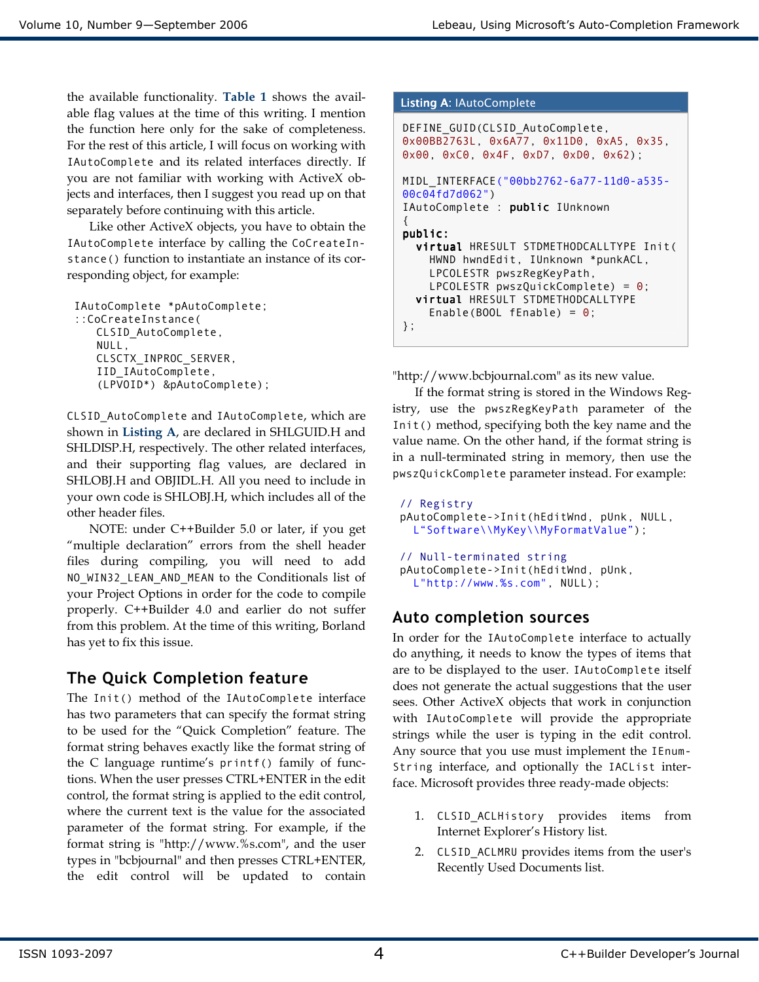the available functionality. Table 1 shows the available flag values at the time of this writing. I mention the function here only for the sake of completeness. For the rest of this article, I will focus on working with IAutoComplete and its related interfaces directly. If you are not familiar with working with ActiveX objects and interfaces, then I suggest you read up on that separately before continuing with this article.

 Like other ActiveX objects, you have to obtain the IAutoComplete interface by calling the CoCreateInstance() function to instantiate an instance of its corresponding object, for example:

```
IAutoComplete *pAutoComplete; 
::CoCreateInstance( 
   CLSID_AutoComplete, 
   NULL, 
   CLSCTX_INPROC_SERVER, 
   IID_IAutoComplete, 
   (LPVOID*) &pAutoComplete);
```
CLSID\_AutoComplete and IAutoComplete, which are shown in Listing A, are declared in SHLGUID.H and SHLDISP.H, respectively. The other related interfaces, and their supporting flag values, are declared in SHLOBJ.H and OBJIDL.H. All you need to include in your own code is SHLOBJ.H, which includes all of the other header files.

NOTE: under C++Builder 5.0 or later, if you get "multiple declaration" errors from the shell header files during compiling, you will need to add NO\_WIN32\_LEAN\_AND\_MEAN to the Conditionals list of your Project Options in order for the code to compile properly. C++Builder 4.0 and earlier do not suffer from this problem. At the time of this writing, Borland has yet to fix this issue.

### The Quick Completion feature

The Init() method of the IAutoComplete interface has two parameters that can specify the format string to be used for the "Quick Completion" feature. The format string behaves exactly like the format string of the C language runtime's printf() family of functions. When the user presses CTRL+ENTER in the edit control, the format string is applied to the edit control, where the current text is the value for the associated parameter of the format string. For example, if the format string is "http://www.%s.com", and the user types in "bcbjournal" and then presses CTRL+ENTER, the edit control will be updated to contain

```
Listing A: IAutoComplete
```

```
DEFINE_GUID(CLSID_AutoComplete, 
0x00BB2763L, 0x6A77, 0x11D0, 0xA5, 0x35, 
0x00, 0xC0, 0x4F, 0xD7, 0xD0, 0x62); 
MIDL_INTERFACE("00bb2762-6a77-11d0-a535-
00c04fd7d062") 
IAutoComplete : public IUnknown 
{ 
public: 
  virtual HRESULT STDMETHODCALLTYPE Init(
     HWND hwndEdit, IUnknown *punkACL, 
     LPCOLESTR pwszRegKeyPath, 
    LPCOLESTR puszQuickComplete) = 0;
  virtual HRESULT STDMETHODCALLTYPE
    Enable(BOOL fEnable) = \theta;
};
```
"http://www.bcbjournal.com" as its new value.

If the format string is stored in the Windows Registry, use the pwszRegKeyPath parameter of the Init() method, specifying both the key name and the value name. On the other hand, if the format string is in a null-terminated string in memory, then use the pwszQuickComplete parameter instead. For example:

```
// Registry 
pAutoComplete->Init(hEditWnd, pUnk, NULL, 
   L"Software\\MyKey\\MyFormatValue"); 
// Null-terminated string 
pAutoComplete->Init(hEditWnd, pUnk, 
   L"http://www.%s.com", NULL);
```
### Auto completion sources

In order for the IAutoComplete interface to actually do anything, it needs to know the types of items that are to be displayed to the user. IAutoComplete itself does not generate the actual suggestions that the user sees. Other ActiveX objects that work in conjunction with IAutoComplete will provide the appropriate strings while the user is typing in the edit control. Any source that you use must implement the IEnum-String interface, and optionally the IACList interface. Microsoft provides three ready-made objects:

- 1. CLSID\_ACLHistory provides items from Internet Explorer's History list.
- 2. CLSID\_ACLMRU provides items from the user's Recently Used Documents list.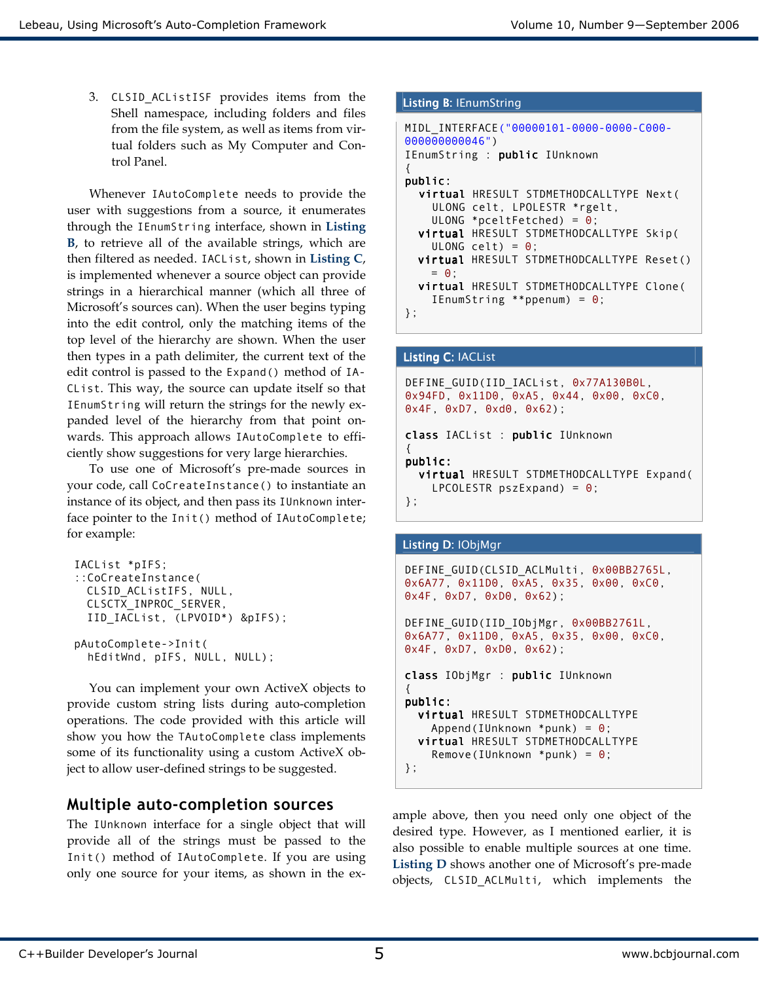3. CLSID\_ACListISF provides items from the Shell namespace, including folders and files from the file system, as well as items from virtual folders such as My Computer and Control Panel.

Whenever IAutoComplete needs to provide the user with suggestions from a source, it enumerates through the IEnumString interface, shown in Listing B, to retrieve all of the available strings, which are then filtered as needed. IACList, shown in Listing C, is implemented whenever a source object can provide strings in a hierarchical manner (which all three of Microsoft's sources can). When the user begins typing into the edit control, only the matching items of the top level of the hierarchy are shown. When the user then types in a path delimiter, the current text of the edit control is passed to the Expand() method of IA-CList. This way, the source can update itself so that IEnumString will return the strings for the newly expanded level of the hierarchy from that point onwards. This approach allows IAutoComplete to efficiently show suggestions for very large hierarchies.

To use one of Microsoft's pre-made sources in your code, call CoCreateInstance() to instantiate an instance of its object, and then pass its IUnknown interface pointer to the Init() method of IAutoComplete; for example:

```
IACList *pIFS; 
::CoCreateInstance( 
 CLSID_ACListIFS, NULL, 
 CLSCTX_INPROC_SERVER, 
  IID_IACList, (LPVOID*) &pIFS); 
pAutoComplete->Init( 
   hEditWnd, pIFS, NULL, NULL);
```
You can implement your own ActiveX objects to provide custom string lists during auto-completion operations. The code provided with this article will show you how the TAutoComplete class implements some of its functionality using a custom ActiveX object to allow user-defined strings to be suggested.

### Multiple auto-completion sources

The IUnknown interface for a single object that will provide all of the strings must be passed to the Init() method of IAutoComplete. If you are using only one source for your items, as shown in the ex-

#### Listing B: IEnumString

```
MIDL_INTERFACE("00000101-0000-0000-C000-
000000000046") 
IEnumString : public IUnknown 
{ 
public: 
  virtual HRESULT STDMETHODCALLTYPE Next(
     ULONG celt, LPOLESTR *rgelt, 
    ULONG *pceltFetched) = 0;
  virtual HRESULT STDMETHODCALLTYPE Skip(
    ULONG celt) = \theta;
  virtual HRESULT STDMETHODCALLTYPE Reset()
   = 0:
  virtual HRESULT STDMETHODCALLTYPE Clone(
    IEnumString **ppenum) = 0;
};
```
#### Listing C: IACList

```
DEFINE GUID(IID IACList, 0x77A130B0L,
0x94FD, 0x11D0, 0xA5, 0x44, 0x00, 0xC0, 
0x4F, 0xD7, 0xd0, 0x62); 
class IACList : public IUnknown
\left\{ \right.public: public: 
  virtual HRESULT STDMETHODCALLTYPE Expand(
    LPCOLESTR pszExpand = 0;
};
```
#### Listing D: IObjMgr

```
DEFINE_GUID(CLSID_ACLMulti, 0x00BB2765L, 
0x6A77, 0x11D0, 0xA5, 0x35, 0x00, 0xC0, 
0x4F, 0xD7, 0xD0, 0x62); 
DEFINE_GUID(IID_IObjMgr, 0x00BB2761L, 
0x6A77, 0x11D0, 0xA5, 0x35, 0x00, 0xC0, 
0x4F, 0xD7, 0xD0, 0x62); 
class IObjMgr : public IUnknown
{ 
public:
  virtual HRESULT STDMETHODCALLTYPE
    Append(IUnknown *punk) = \theta;
  virtual HRESULT STDMETHODCALLTYPE
     Remove(IUnknown *punk) = 0; 
};
```
ample above, then you need only one object of the desired type. However, as I mentioned earlier, it is also possible to enable multiple sources at one time. Listing D shows another one of Microsoft's pre-made objects, CLSID\_ACLMulti, which implements the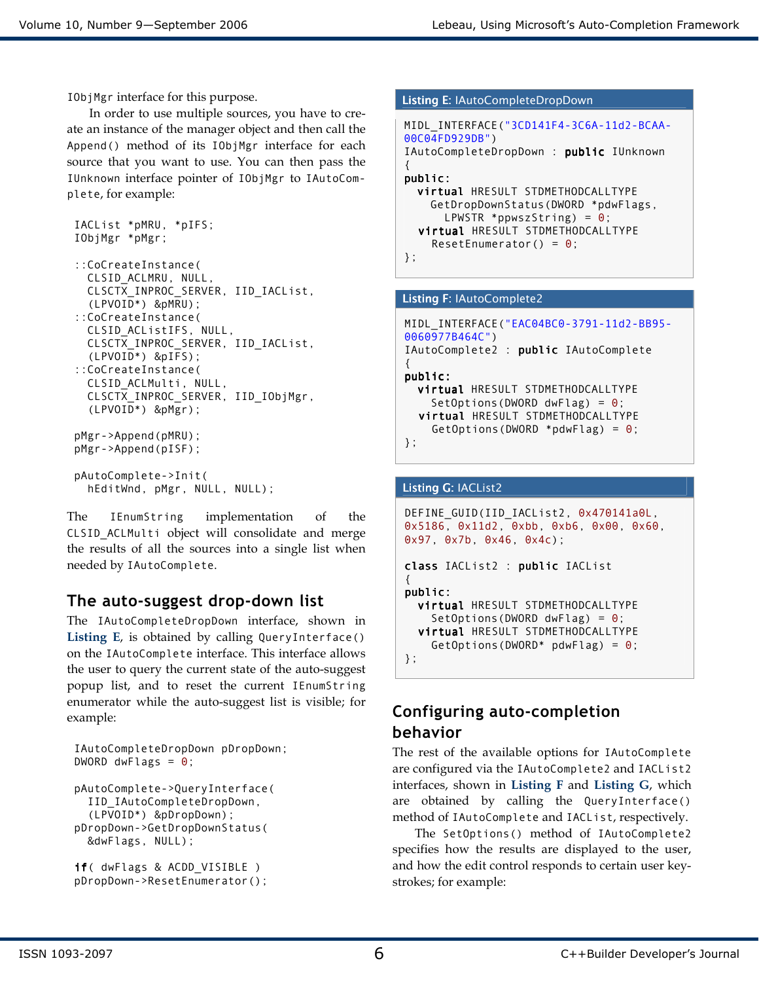IObjMgr interface for this purpose.

In order to use multiple sources, you have to create an instance of the manager object and then call the Append() method of its IObjMgr interface for each source that you want to use. You can then pass the IUnknown interface pointer of IObjMgr to IAutoComplete, for example:

```
IACList *pMRU, *pIFS; 
IObjMgr *pMgr; 
::CoCreateInstance( 
   CLSID_ACLMRU, NULL, 
   CLSCTX_INPROC_SERVER, IID_IACList, 
   (LPVOID*) &pMRU); 
::CoCreateInstance( 
   CLSID_ACListIFS, NULL, 
   CLSCTX_INPROC_SERVER, IID_IACList, 
   (LPVOID*) &pIFS); 
::CoCreateInstance( 
   CLSID_ACLMulti, NULL, 
   CLSCTX_INPROC_SERVER, IID_IObjMgr, 
   (LPVOID*) &pMgr); 
pMgr->Append(pMRU); 
pMgr->Append(pISF); 
pAutoComplete->Init( 
   hEditWnd, pMgr, NULL, NULL);
```
The IEnumString implementation of the CLSID\_ACLMulti object will consolidate and merge the results of all the sources into a single list when needed by IAutoComplete.

### The auto-suggest drop-down list

The IAutoCompleteDropDown interface, shown in Listing E, is obtained by calling QueryInterface() on the IAutoComplete interface. This interface allows the user to query the current state of the auto-suggest popup list, and to reset the current IEnumString enumerator while the auto-suggest list is visible; for example:

```
IAutoCompleteDropDown pDropDown; 
DWORD dwFlags = \theta;
pAutoComplete->QueryInterface( 
   IID_IAutoCompleteDropDown, 
   (LPVOID*) &pDropDown); 
pDropDown->GetDropDownStatus( 
   &dwFlags, NULL); 
if( dwFlags & ACDD_VISIBLE )
```

```
pDropDown->ResetEnumerator();
```
#### Listing E: IAutoCompleteDropDown

```
MIDL_INTERFACE("3CD141F4-3C6A-11d2-BCAA-
00C04FD929DB") 
IAutoCompleteDropDown : public IUnknown 
{ 
public: public: 
  virtual HRESULT STDMETHODCALLTYPE
     GetDropDownStatus(DWORD *pdwFlags, 
      LPWSTR *ppwszString) = \theta;
  virtual HRESULT STDMETHODCALLTYPE
    ResetEnumerator() = 0;};
```
#### Listing F: IAutoComplete2

```
MIDL_INTERFACE("EAC04BC0-3791-11d2-BB95-
0060977B464C") 
IAutoComplete2 : public IAutoComplete 
{ 
public:
  virtual HRESULT STDMETHODCALLTYPE
    SetOptions(DWORD dwFlag) = \theta;
  virtual HRESULT STDMETHODCALLTYPE
    GetOptions(DWORD *pdwFlag) = \theta;
};
```
#### Listing G: IACList2

```
DEFINE GUID(IID IACList2, 0x470141a0L,
0x5186, 0x11d2, 0xbb, 0xb6, 0x00, 0x60, 
0x97, 0x7b, 0x46, 0x4c); 
class IACList2 : public IACList
\left\{ \right.public:
  virtual HRESULT STDMETHODCALLTYPE
    SetOptions(DWORD dwFlag) = \theta;
   virtual virtual HRESULT STDMETHODCALLTYPE 
    GetOptions(DWORD* pdwFlag) = \theta;
};
```
### Configuring auto-completion behavior

The rest of the available options for IAutoComplete are configured via the IAutoComplete2 and IACList2 interfaces, shown in Listing F and Listing G, which are obtained by calling the QueryInterface() method of IAutoComplete and IACList, respectively.

The SetOptions() method of IAutoComplete2 specifies how the results are displayed to the user, and how the edit control responds to certain user keystrokes; for example: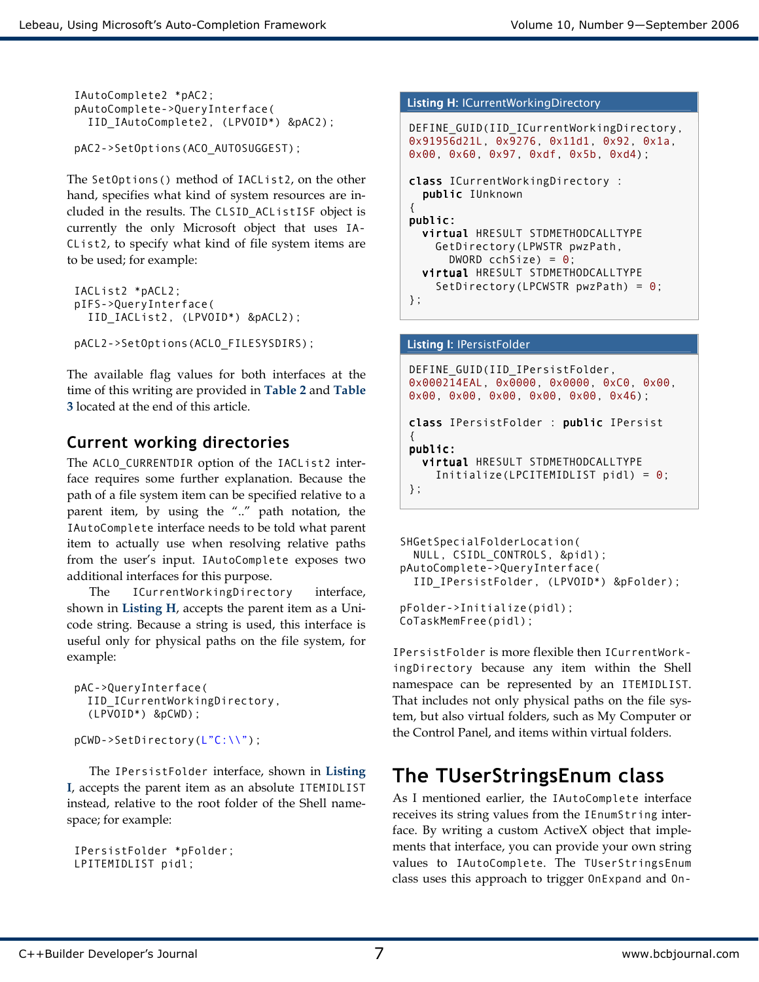```
IAutoComplete2 *pAC2; 
pAutoComplete->QueryInterface( 
   IID_IAutoComplete2, (LPVOID*) &pAC2);
```

```
pAC2->SetOptions(ACO_AUTOSUGGEST);
```
The SetOptions() method of IACList2, on the other hand, specifies what kind of system resources are included in the results. The CLSID\_ACListISF object is currently the only Microsoft object that uses IA-CList2, to specify what kind of file system items are to be used; for example:

```
IACList2 *pACL2; 
pIFS->QueryInterface( 
   IID_IACList2, (LPVOID*) &pACL2);
```

```
pACL2->SetOptions(ACLO_FILESYSDIRS);
```
The available flag values for both interfaces at the time of this writing are provided in Table 2 and Table 3 located at the end of this article.

# Current working directories

The ACLO\_CURRENTDIR option of the IACList2 interface requires some further explanation. Because the path of a file system item can be specified relative to a parent item, by using the ".." path notation, the IAutoComplete interface needs to be told what parent item to actually use when resolving relative paths from the user's input. IAutoComplete exposes two additional interfaces for this purpose.

The ICurrentWorkingDirectory interface, shown in Listing H, accepts the parent item as a Unicode string. Because a string is used, this interface is useful only for physical paths on the file system, for example:

```
pAC->QueryInterface( 
  IID_ICurrentWorkingDirectory, 
  (LPVOID*) &pCWD);
```
pCWD->SetDirectory(L"C:\\");

The IPersistFolder interface, shown in Listing I, accepts the parent item as an absolute ITEMIDLIST instead, relative to the root folder of the Shell namespace; for example:

```
IPersistFolder *pFolder; 
LPITEMIDLIST pidl;
```

```
Listing H: ICurrentWorkingDirectory
DEFINE_GUID(IID_ICurrentWorkingDirectory, 
0x91956d21L, 0x9276, 0x11d1, 0x92, 0x1a, 
0x00, 0x60, 0x97, 0xdf, 0x5b, 0xd4); 
class ICurrentWorkingDirectory :
   public IUnknown 
{ 
public:
  virtual HRESULT STDMETHODCALLTYPE
     GetDirectory(LPWSTR pwzPath, 
      DWORD cchSize) = \theta;
  virtual HRESULT STDMETHODCALLTYPE
    SetDirectory(LPCWSTR pwzPath) = \theta;
};
```
#### Listing I: IPersistFolder

```
DEFINE GUID(IID IPersistFolder,
0x000214EAL, 0x0000, 0x0000, 0xC0, 0x00, 
0x00, 0x00, 0x00, 0x00, 0x00, 0x46); 
class IPersistFolder : public IPersist
{ 
public: public: 
  virtual HRESULT STDMETHODCALLTYPE
     Initialize(LPCITEMIDLIST pidl) = 0; 
};
```

```
SHGetSpecialFolderLocation( 
   NULL, CSIDL_CONTROLS, &pidl); 
pAutoComplete->QueryInterface( 
   IID_IPersistFolder, (LPVOID*) &pFolder); 
pFolder->Initialize(pidl); 
CoTaskMemFree(pidl);
```
IPersistFolder is more flexible then ICurrentWorkingDirectory because any item within the Shell namespace can be represented by an ITEMIDLIST. That includes not only physical paths on the file system, but also virtual folders, such as My Computer or the Control Panel, and items within virtual folders.

# The TUserStringsEnum class

As I mentioned earlier, the IAutoComplete interface receives its string values from the IEnumString interface. By writing a custom ActiveX object that implements that interface, you can provide your own string values to IAutoComplete. The TUserStringsEnum class uses this approach to trigger OnExpand and On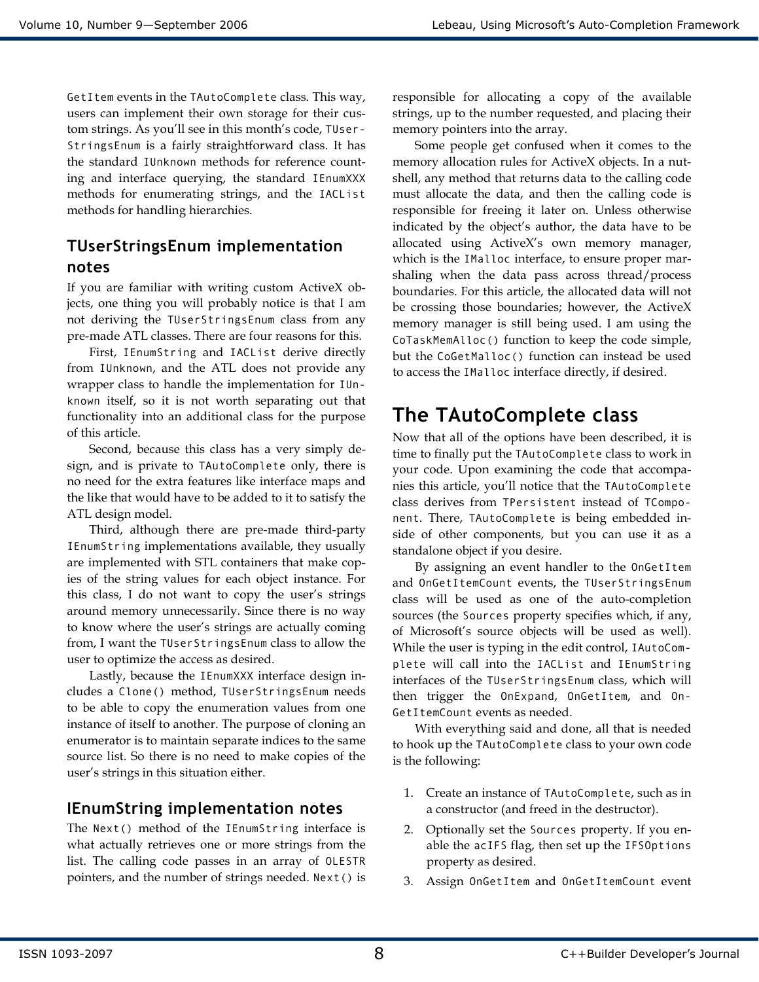GetItem events in the TAutoComplete class. This way, users can implement their own storage for their custom strings. As you'll see in this month's code, TUser-StringsEnum is a fairly straightforward class. It has the standard IUnknown methods for reference counting and interface querying, the standard IEnumXXX methods for enumerating strings, and the IACList methods for handling hierarchies.

## TUserStringsEnum implementation notes

If you are familiar with writing custom ActiveX objects, one thing you will probably notice is that I am not deriving the TUserStringsEnum class from any pre-made ATL classes. There are four reasons for this.

First, IEnumString and IACList derive directly from IUnknown, and the ATL does not provide any wrapper class to handle the implementation for IUnknown itself, so it is not worth separating out that functionality into an additional class for the purpose of this article.

Second, because this class has a very simply design, and is private to TAutoComplete only, there is no need for the extra features like interface maps and the like that would have to be added to it to satisfy the ATL design model.

Third, although there are pre-made third-party IEnumString implementations available, they usually are implemented with STL containers that make copies of the string values for each object instance. For this class, I do not want to copy the user's strings around memory unnecessarily. Since there is no way to know where the user's strings are actually coming from, I want the TUserStringsEnum class to allow the user to optimize the access as desired.

Lastly, because the IEnumXXX interface design includes a Clone() method, TUserStringsEnum needs to be able to copy the enumeration values from one instance of itself to another. The purpose of cloning an enumerator is to maintain separate indices to the same source list. So there is no need to make copies of the user's strings in this situation either.

### IEnumString implementation notes

The Next() method of the IEnumString interface is what actually retrieves one or more strings from the list. The calling code passes in an array of OLESTR pointers, and the number of strings needed. Next() is responsible for allocating a copy of the available strings, up to the number requested, and placing their memory pointers into the array.

 Some people get confused when it comes to the memory allocation rules for ActiveX objects. In a nutshell, any method that returns data to the calling code must allocate the data, and then the calling code is responsible for freeing it later on. Unless otherwise indicated by the object's author, the data have to be allocated using ActiveX's own memory manager, which is the IMalloc interface, to ensure proper marshaling when the data pass across thread/process boundaries. For this article, the allocated data will not be crossing those boundaries; however, the ActiveX memory manager is still being used. I am using the CoTaskMemAlloc() function to keep the code simple, but the CoGetMalloc() function can instead be used to access the IMalloc interface directly, if desired.

# The TAutoComplete class

Now that all of the options have been described, it is time to finally put the TAutoComplete class to work in your code. Upon examining the code that accompanies this article, you'll notice that the TAutoComplete class derives from TPersistent instead of TComponent. There, TAutoComplete is being embedded inside of other components, but you can use it as a standalone object if you desire.

 By assigning an event handler to the OnGetItem and OnGetItemCount events, the TUserStringsEnum class will be used as one of the auto-completion sources (the Sources property specifies which, if any, of Microsoft's source objects will be used as well). While the user is typing in the edit control, IAutoComplete will call into the IACList and IEnumString interfaces of the TUserStringsEnum class, which will then trigger the OnExpand, OnGetItem, and On-GetItemCount events as needed.

 With everything said and done, all that is needed to hook up the TAutoComplete class to your own code is the following:

- 1. Create an instance of TAutoComplete, such as in a constructor (and freed in the destructor).
- 2. Optionally set the Sources property. If you enable the acIFS flag, then set up the IFSOptions property as desired.
- 3. Assign OnGetItem and OnGetItemCount event